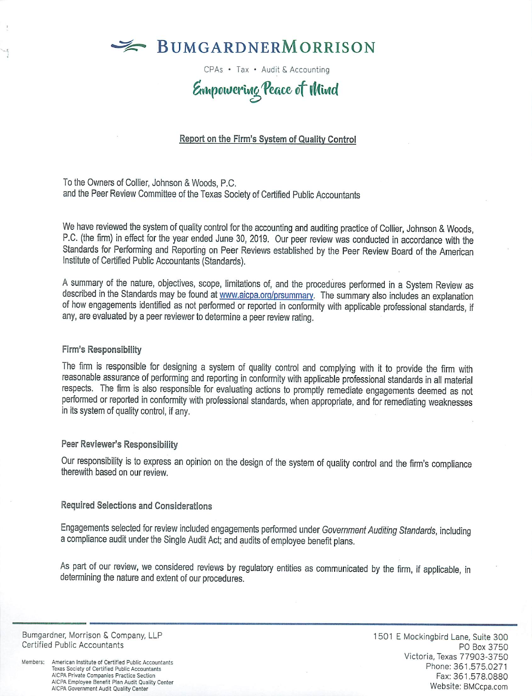

CPAs • Tax • Audit & Accounting

# Empowering Peace of Wind

## Report on the Firm's System of Quality Control

To the Owners of Collier, Johnson & Woods, P.C. and the Peer Review Committee of the Texas Society of Certified Public Accountants

We have reviewed the system of quality control for the accounting and auditing practice of Collier, Johnson & Woods, P.C. (the firm) in effect for the year ended June 30, 2019. Our peer review was conducted in accordance with the Standards for Performing and Reporting on Peer Reviews established by the Peer Review Board of the American Institute of Certified Public Accountants (Standards).

A summary of the nature, objectives, scope, limitations of, and the procedures performed in a System Review as described in the Standards may be found at www.aicpa.org/prsummary. The summary also includes an explanation of how engagements identified as not performed or reported in conformity with applicable professional standards, if any, are evaluated by a peer reviewer to determine a peer review rating.

### Firm's Responsibility

The firm is responsible for designing a system of quality control and complying with it to provide the firm with reasonable assurance of performing and reporting in conformity with applicable professional standards in all material respects. The firm is also responsible for evaluating actions to promptly remediate engagements deemed as not performed or reported in conformity with professional standards, when appropriate, and for remediating weaknesses in its system of quality control, if any.

#### Peer Reviewer's Responsibility

Our responsibility is to express an opinion on the design of the system of quality control and the firm's compliance therewith based on our review.

## Required Selections and Considerations

Engagements selected for review included engagements performed under Government Auditing Standards, including a compliance audit under the Single Audit Act; and audits of employee benefit plans.

As part of our review, we considered reviews by regulatory entities as communicated by the firm, if applicable, in determining the nature and extent of our procedures.

Bumgardner, Morrison & Company, LLP Certified Public Accountants

Members: American Institute of Certified Public Accountants Texas Society of Certified Public Accountants AICPA Private Companies Practice Section AICPA Employee Benefit Plan Audit Quality Center AICPA Government Audit Quality Center

1501 E Mockingbird Lane, Suite 300 PO Box 3750 Victoria, Texas 77903-3750 Phone: 361.575.0271 Fax: 361.578.0880 Website: BMCcpa.com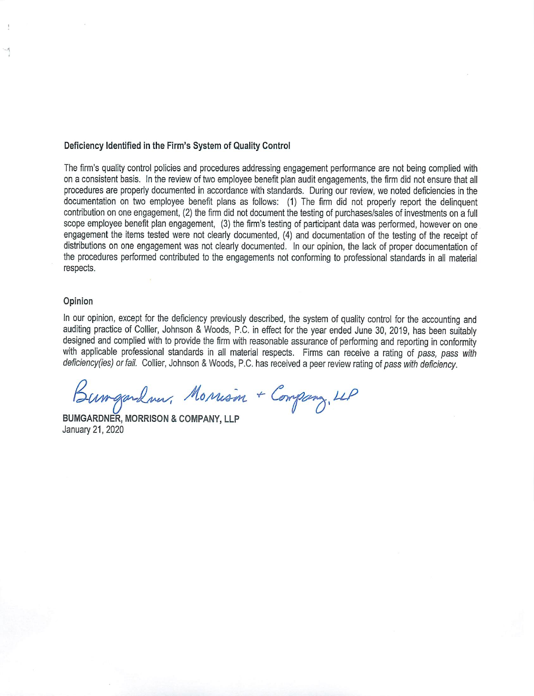#### Deficiency Identified in the Firm's System of Quality Control

The firm's quality control policies and procedures addressing engagement performance are not being complied with on a consistent basis. In the review of two employee benefit plan audit engagements, the firm did not ensure that all procedures are properly documented in accordance with standards. During our review, we noted deficiencies in the documentation on two employee benefit plans as follows: (1) The firm did not properly report the delinguent contribution on one engagement, (2) the firm did not document the testing of purchases/sales of investments on a full scope employee benefit plan engagement, (3) the firm's testing of participant data was performed, however on one engagement the items tested were not clearly documented, (4) and documentation of the testing of the receipt of distributions on one engagement was not clearly documented. In our opinion, the lack of proper documentation of the procedures performed contributed to the engagements not conforming to professional standards in all material respects.

#### Opinion

In our opinion, except for the deficiency previously described, the system of quality control for the accounting and auditing practice of Collier, Johnson & Woods, P.C. in effect for the year ended June 30, 2019, has been suitably designed and complied with to provide the firm with reasonable assurance of performing and reporting in conformity with applicable professional standards in all material respects. Firms can receive a rating of pass, pass with deficiency(ies) or fail. Collier, Johnson & Woods, P.C. has received a peer review rating of pass with deficiency.

Bumgardner, Monison + Company, LLP

BUMGARDNER, MORRISON & COMPANY, LLP January 21, 2020